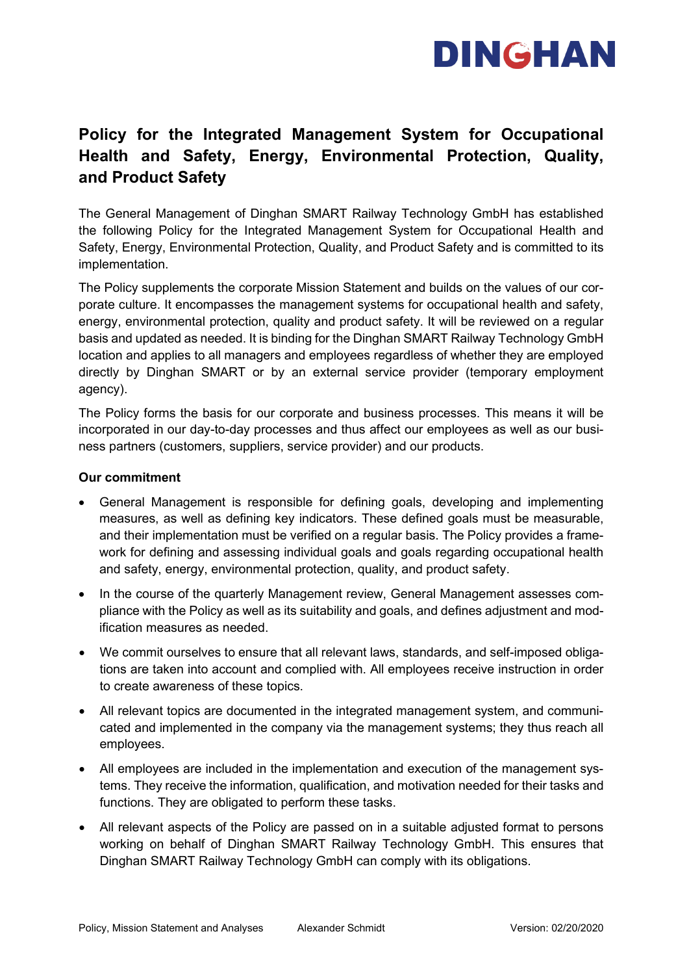

## **Policy for the Integrated Management System for Occupational Health and Safety, Energy, Environmental Protection, Quality, and Product Safety**

The General Management of Dinghan SMART Railway Technology GmbH has established the following Policy for the Integrated Management System for Occupational Health and Safety, Energy, Environmental Protection, Quality, and Product Safety and is committed to its implementation.

The Policy supplements the corporate Mission Statement and builds on the values of our corporate culture. It encompasses the management systems for occupational health and safety, energy, environmental protection, quality and product safety. It will be reviewed on a regular basis and updated as needed. It is binding for the Dinghan SMART Railway Technology GmbH location and applies to all managers and employees regardless of whether they are employed directly by Dinghan SMART or by an external service provider (temporary employment agency).

The Policy forms the basis for our corporate and business processes. This means it will be incorporated in our day-to-day processes and thus affect our employees as well as our business partners (customers, suppliers, service provider) and our products.

#### **Our commitment**

- General Management is responsible for defining goals, developing and implementing measures, as well as defining key indicators. These defined goals must be measurable, and their implementation must be verified on a regular basis. The Policy provides a framework for defining and assessing individual goals and goals regarding occupational health and safety, energy, environmental protection, quality, and product safety.
- In the course of the quarterly Management review, General Management assesses compliance with the Policy as well as its suitability and goals, and defines adjustment and modification measures as needed.
- We commit ourselves to ensure that all relevant laws, standards, and self-imposed obligations are taken into account and complied with. All employees receive instruction in order to create awareness of these topics.
- All relevant topics are documented in the integrated management system, and communicated and implemented in the company via the management systems; they thus reach all employees.
- All employees are included in the implementation and execution of the management systems. They receive the information, qualification, and motivation needed for their tasks and functions. They are obligated to perform these tasks.
- All relevant aspects of the Policy are passed on in a suitable adjusted format to persons working on behalf of Dinghan SMART Railway Technology GmbH. This ensures that Dinghan SMART Railway Technology GmbH can comply with its obligations.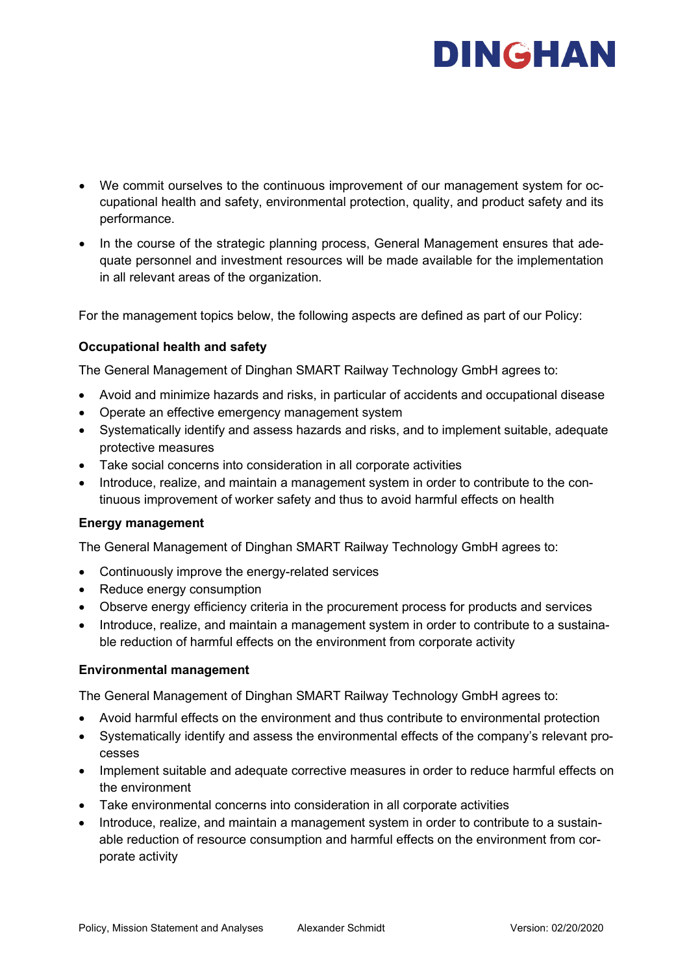# DINGHAN

- We commit ourselves to the continuous improvement of our management system for occupational health and safety, environmental protection, quality, and product safety and its performance.
- In the course of the strategic planning process, General Management ensures that adequate personnel and investment resources will be made available for the implementation in all relevant areas of the organization.

For the management topics below, the following aspects are defined as part of our Policy:

### **Occupational health and safety**

The General Management of Dinghan SMART Railway Technology GmbH agrees to:

- Avoid and minimize hazards and risks, in particular of accidents and occupational disease
- Operate an effective emergency management system
- Systematically identify and assess hazards and risks, and to implement suitable, adequate protective measures
- Take social concerns into consideration in all corporate activities
- Introduce, realize, and maintain a management system in order to contribute to the continuous improvement of worker safety and thus to avoid harmful effects on health

### **Energy management**

The General Management of Dinghan SMART Railway Technology GmbH agrees to:

- Continuously improve the energy-related services
- Reduce energy consumption
- Observe energy efficiency criteria in the procurement process for products and services
- Introduce, realize, and maintain a management system in order to contribute to a sustainable reduction of harmful effects on the environment from corporate activity

### **Environmental management**

The General Management of Dinghan SMART Railway Technology GmbH agrees to:

- Avoid harmful effects on the environment and thus contribute to environmental protection
- Systematically identify and assess the environmental effects of the company's relevant processes
- Implement suitable and adequate corrective measures in order to reduce harmful effects on the environment
- Take environmental concerns into consideration in all corporate activities
- Introduce, realize, and maintain a management system in order to contribute to a sustainable reduction of resource consumption and harmful effects on the environment from corporate activity